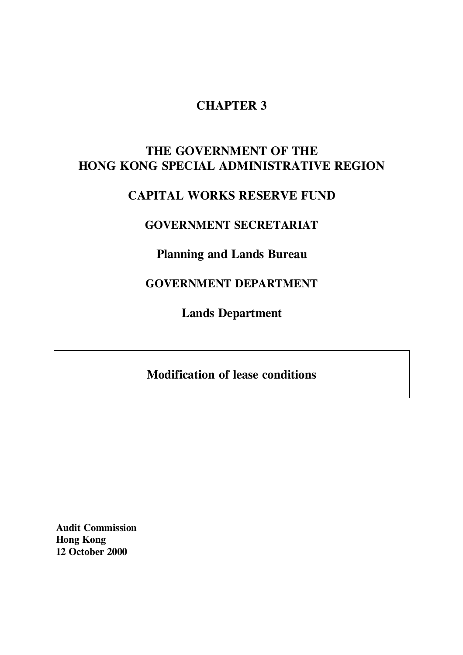# **CHAPTER 3**

# **THE GOVERNMENT OF THE HONG KONG SPECIAL ADMINISTRATIVE REGION**

# **CAPITAL WORKS RESERVE FUND**

# **GOVERNMENT SECRETARIAT**

# **Planning and Lands Bureau**

# **GOVERNMENT DEPARTMENT**

**Lands Department**

# **Modification of lease conditions**

**Audit Commission Hong Kong 12 October 2000**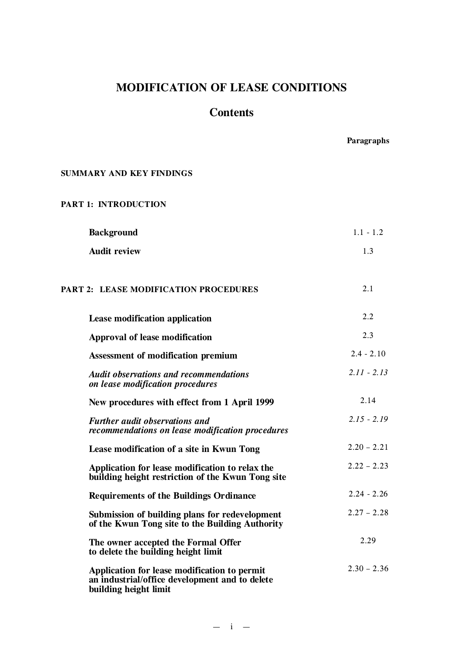# **MODIFICATION OF LEASE CONDITIONS**

# **Contents**

**Paragraphs**

### **SUMMARY AND KEY FINDINGS**

## **PART 1: INTRODUCTION**

| <b>Background</b>                                                                                                       | $1.1 - 1.2$   |
|-------------------------------------------------------------------------------------------------------------------------|---------------|
| <b>Audit review</b>                                                                                                     | 1.3           |
| PART 2: LEASE MODIFICATION PROCEDURES                                                                                   | 2.1           |
| Lease modification application                                                                                          | 2.2           |
| Approval of lease modification                                                                                          | 2.3           |
| <b>Assessment of modification premium</b>                                                                               | $2.4 - 2.10$  |
| <b>Audit observations and recommendations</b><br>on lease modification procedures                                       | $2.11 - 2.13$ |
| New procedures with effect from 1 April 1999                                                                            | 2.14          |
| <b>Further audit observations and</b><br>recommendations on lease modification procedures                               | $2.15 - 2.19$ |
| Lease modification of a site in Kwun Tong                                                                               | $2.20 - 2.21$ |
| Application for lease modification to relax the<br>building height restriction of the Kwun Tong site                    | $2.22 - 2.23$ |
| <b>Requirements of the Buildings Ordinance</b>                                                                          | $2.24 - 2.26$ |
| Submission of building plans for redevelopment<br>of the Kwun Tong site to the Building Authority                       | $2.27 - 2.28$ |
| The owner accepted the Formal Offer<br>to delete the building height limit                                              | 2.29          |
| Application for lease modification to permit<br>an industrial/office development and to delete<br>building height limit | $2.30 - 2.36$ |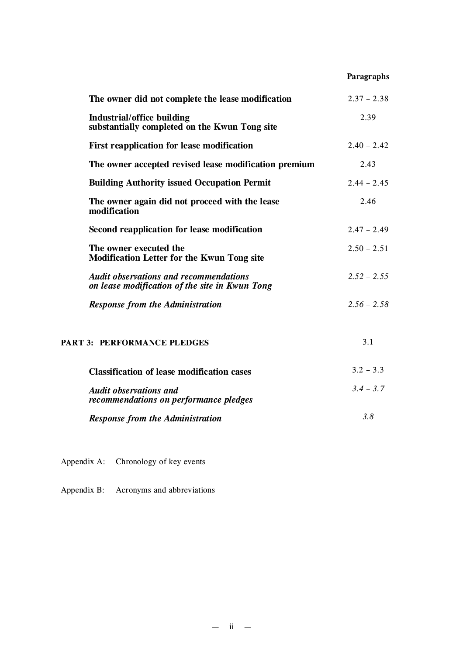# **Paragraphs**

| The owner did not complete the lease modification                                               | $2.37 - 2.38$ |
|-------------------------------------------------------------------------------------------------|---------------|
| Industrial/office building<br>substantially completed on the Kwun Tong site                     | 2.39          |
| First reapplication for lease modification                                                      | $2.40 - 2.42$ |
| The owner accepted revised lease modification premium                                           | 2.43          |
| <b>Building Authority issued Occupation Permit</b>                                              | $2.44 - 2.45$ |
| The owner again did not proceed with the lease<br>modification                                  | 2.46          |
| Second reapplication for lease modification                                                     | $2.47 - 2.49$ |
| The owner executed the<br><b>Modification Letter for the Kwun Tong site</b>                     | $2.50 - 2.51$ |
| <b>Audit observations and recommendations</b><br>on lease modification of the site in Kwun Tong | $2.52 - 2.55$ |
| <b>Response from the Administration</b>                                                         | $2.56 - 2.58$ |
| PART 3: PERFORMANCE PLEDGES                                                                     | 3.1           |
| <b>Classification of lease modification cases</b>                                               | $3.2 - 3.3$   |
| <b>Audit observations and</b><br>recommendations on performance pledges                         | $3.4 - 3.7$   |
| <b>Response from the Administration</b>                                                         | 3.8           |

Appendix A: Chronology of key events

Appendix B: Acronyms and abbreviations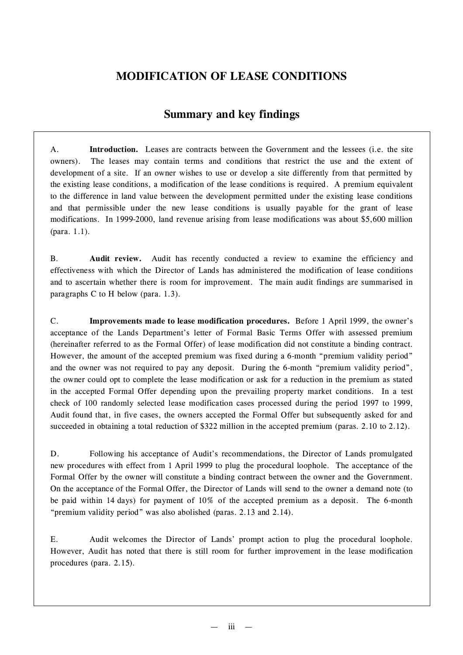# **MODIFICATION OF LEASE CONDITIONS**

# **Summary and key findings**

A. **Introduction.** Leases are contracts between the Government and the lessees (i.e. the site owners). The leases may contain terms and conditions that restrict the use and the extent of development of a site. If an owner wishes to use or develop a site differently from that permitted by the existing lease conditions, a modification of the lease conditions is required. A premium equivalent to the difference in land value between the development permitted under the existing lease conditions and that permissible under the new lease conditions is usually payable for the grant of lease modifications. In 1999-2000, land revenue arising from lease modifications was about \$5,600 million (para. 1.1).

B. **Audit review.** Audit has recently conducted a review to examine the efficiency and effectiveness with which the Director of Lands has administered the modification of lease conditions and to ascertain whether there is room for improvement. The main audit findings are summarised in paragraphs C to H below (para. 1.3).

C. **Improvements made to lease modification procedures.** Before 1 April 1999, the owner's acceptance of the Lands Department's letter of Formal Basic Terms Offer with assessed premium (hereinafter referred to as the Formal Offer) of lease modification did not constitute a binding contract. However, the amount of the accepted premium was fixed during a 6-month "premium validity period" and the owner was not required to pay any deposit. During the 6-month "premium validity period", the owner could opt to complete the lease modification or ask for a reduction in the premium as stated in the accepted Formal Offer depending upon the prevailing property market conditions. In a test check of 100 randomly selected lease modification cases processed during the period 1997 to 1999, Audit found that, in five cases, the owners accepted the Formal Offer but subsequently asked for and succeeded in obtaining a total reduction of \$322 million in the accepted premium (paras. 2.10 to 2.12).

D. Following his acceptance of Audit's recommendations, the Director of Lands promulgated new procedures with effect from 1 April 1999 to plug the procedural loophole. The acceptance of the Formal Offer by the owner will constitute a binding contract between the owner and the Government. On the acceptance of the Formal Offer, the Director of Lands will send to the owner a demand note (to be paid within 14 days) for payment of 10% of the accepted premium as a deposit. The 6-month "premium validity period" was also abolished (paras. 2.13 and 2.14).

E. Audit welcomes the Director of Lands' prompt action to plug the procedural loophole. However, Audit has noted that there is still room for further improvement in the lease modification procedures (para. 2.15).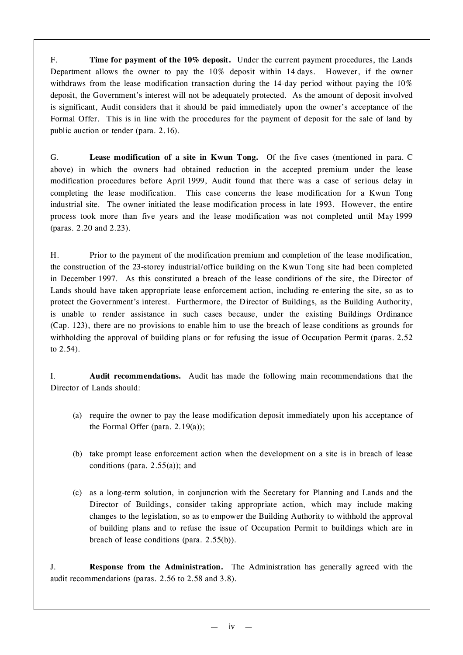F. **Time for payment of the 10% deposit.** Under the current payment procedures, the Lands Department allows the owner to pay the 10% deposit within 14 days. However, if the owner withdraws from the lease modification transaction during the 14-day period without paying the 10% deposit, the Government's interest will not be adequately protected. As the amount of deposit involved is significant, Audit considers that it should be paid immediately upon the owner's acceptance of the Formal Offer. This is in line with the procedures for the payment of deposit for the sale of land by public auction or tender (para. 2.16).

G. **Lease modification of a site in Kwun Tong.** Of the five cases (mentioned in para. C above) in which the owners had obtained reduction in the accepted premium under the lease modification procedures before April 1999, Audit found that there was a case of serious delay in completing the lease modification. This case concerns the lease modification for a Kwun Tong industrial site. The owner initiated the lease modification process in late 1993. However, the entire process took more than five years and the lease modification was not completed until May 1999 (paras. 2.20 and 2.23).

H. Prior to the payment of the modification premium and completion of the lease modification, the construction of the 23-storey industrial/office building on the Kwun Tong site had been completed in December 1997. As this constituted a breach of the lease conditions of the site, the Director of Lands should have taken appropriate lease enforcement action, including re-entering the site, so as to protect the Government's interest. Furthermore, the Director of Buildings, as the Building Authority, is unable to render assistance in such cases because, under the existing Buildings Ordinance (Cap. 123), there are no provisions to enable him to use the breach of lease conditions as grounds for withholding the approval of building plans or for refusing the issue of Occupation Permit (paras. 2.52 to 2.54).

I. **Audit recommendations.** Audit has made the following main recommendations that the Director of Lands should:

- (a) require the owner to pay the lease modification deposit immediately upon his acceptance of the Formal Offer (para. 2.19(a));
- (b) take prompt lease enforcement action when the development on a site is in breach of lease conditions (para.  $2.55(a)$ ); and
- (c) as a long-term solution, in conjunction with the Secretary for Planning and Lands and the Director of Buildings, consider taking appropriate action, which may include making changes to the legislation, so as to empower the Building Authority to withhold the approval of building plans and to refuse the issue of Occupation Permit to buildings which are in breach of lease conditions (para. 2.55(b)).

J. **Response from the Administration.** The Administration has generally agreed with the audit recommendations (paras. 2.56 to 2.58 and 3.8).

 $iv -$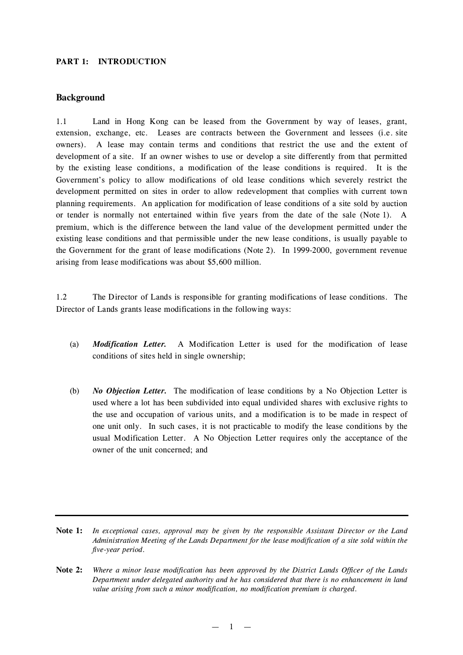#### **PART 1: INTRODUCTION**

### **Background**

1.1 Land in Hong Kong can be leased from the Government by way of leases, grant, extension, exchange, etc. Leases are contracts between the Government and lessees (i.e. site owners). A lease may contain terms and conditions that restrict the use and the extent of development of a site. If an owner wishes to use or develop a site differently from that permitted by the existing lease conditions, a modification of the lease conditions is required. It is the Government's policy to allow modifications of old lease conditions which severely restrict the development permitted on sites in order to allow redevelopment that complies with current town planning requirements. An application for modification of lease conditions of a site sold by auction or tender is normally not entertained within five years from the date of the sale (Note 1). A premium, which is the difference between the land value of the development permitted under the existing lease conditions and that permissible under the new lease conditions, is usually payable to the Government for the grant of lease modifications (Note 2). In 1999-2000, government revenue arising from lease modifications was about \$5,600 million.

1.2 The Director of Lands is responsible for granting modifications of lease conditions. The Director of Lands grants lease modifications in the following ways:

- (a) *Modification Letter.* A Modification Letter is used for the modification of lease conditions of sites held in single ownership;
- (b) *No Objection Letter.* The modification of lease conditions by a No Objection Letter is used where a lot has been subdivided into equal undivided shares with exclusive rights to the use and occupation of various units, and a modification is to be made in respect of one unit only. In such cases, it is not practicable to modify the lease conditions by the usual Modification Letter. A No Objection Letter requires only the acceptance of the owner of the unit concerned; and

 $-1$   $-$ 

**Note 1:** *In exceptional cases, approval may be given by the responsible Assistant Director or the Land Administration Meeting of the Lands Department for the lease modification of a site sold within the five-year period.*

**Note 2:** Where a minor lease modification has been approved by the District Lands Officer of the Lands *Department under delegated authority and he has considered that there is no enhancement in land value arising from such a minor modification, no modification premium is charged.*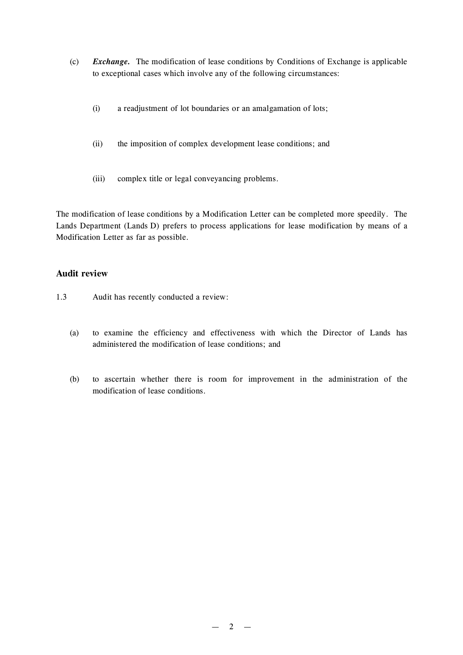- (c) *Exchange.* The modification of lease conditions by Conditions of Exchange is applicable to exceptional cases which involve any of the following circumstances:
	- (i) a readjustment of lot boundaries or an amalgamation of lots;
	- (ii) the imposition of complex development lease conditions; and
	- (iii) complex title or legal conveyancing problems.

The modification of lease conditions by a Modification Letter can be completed more speedily. The Lands Department (Lands D) prefers to process applications for lease modification by means of a Modification Letter as far as possible.

## **Audit review**

- 1.3 Audit has recently conducted a review:
	- (a) to examine the efficiency and effectiveness with which the Director of Lands has administered the modification of lease conditions; and
	- (b) to ascertain whether there is room for improvement in the administration of the modification of lease conditions.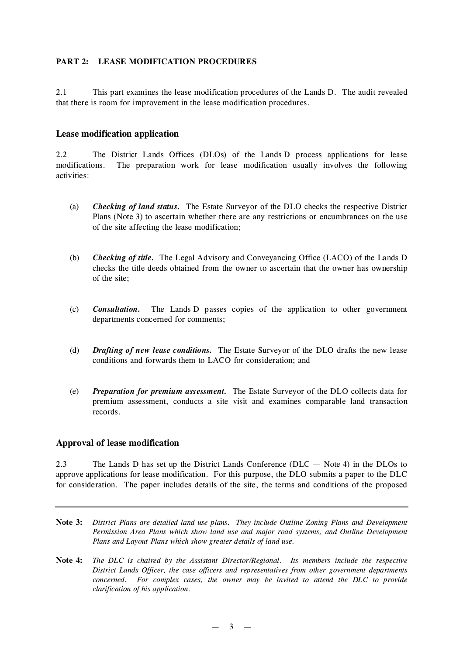## **PART 2: LEASE MODIFICATION PROCEDURES**

2.1 This part examines the lease modification procedures of the Lands D. The audit revealed that there is room for improvement in the lease modification procedures.

### **Lease modification application**

2.2 The District Lands Offices (DLOs) of the Lands D process applications for lease modifications. The preparation work for lease modification usually involves the following activities:

- (a) *Checking of land status.* The Estate Surveyor of the DLO checks the respective District Plans (Note 3) to ascertain whether there are any restrictions or encumbrances on the use of the site affecting the lease modification;
- (b) *Checking of title.* The Legal Advisory and Conveyancing Office (LACO) of the Lands D checks the title deeds obtained from the owner to ascertain that the owner has ownership of the site;
- (c) *Consultation.* The Lands D passes copies of the application to other government departments concerned for comments;
- (d) *Drafting of new lease conditions.* The Estate Surveyor of the DLO drafts the new lease conditions and forwards them to LACO for consideration; and
- (e) *Preparation for premium assessment.* The Estate Surveyor of the DLO collects data for premium assessment, conducts a site visit and examines comparable land transaction records.

#### **Approval of lease modification**

2.3 The Lands D has set up the District Lands Conference (DLC — Note 4) in the DLOs to approve applications for lease modification. For this purpose, the DLO submits a paper to the DLC for consideration. The paper includes details of the site, the terms and conditions of the proposed

- **Note 3:** *District Plans are detailed land use plans. They include Outline Zoning Plans and Development Permission Area Plans which show land use and major road systems, and Outline Development Plans and Layout Plans which show greater details of land use.*
- **Note 4:** *The DLC is chaired by the Assistant Director/Regional. Its members include the respective District Lands Officer, the case officers and representatives from other government departments concerned. For complex cases, the owner may be invited to attend the DLC to provide clarification of his application.*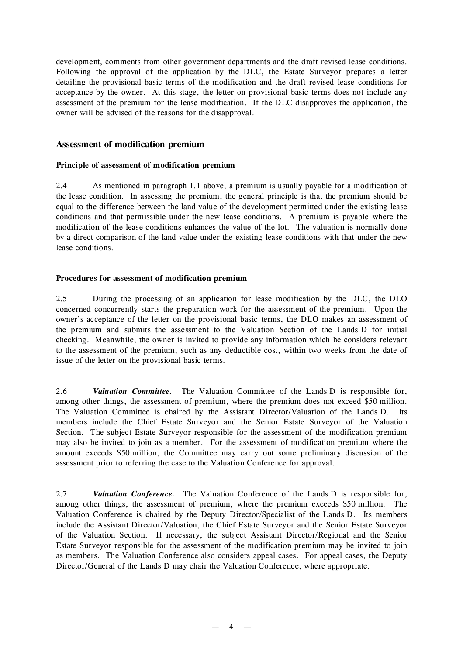development, comments from other government departments and the draft revised lease conditions. Following the approval of the application by the DLC, the Estate Surveyor prepares a letter detailing the provisional basic terms of the modification and the draft revised lease conditions for acceptance by the owner. At this stage, the letter on provisional basic terms does not include any assessment of the premium for the lease modification. If the DLC disapproves the application, the owner will be advised of the reasons for the disapproval.

### **Assessment of modification premium**

#### **Principle of assessment of modification premium**

2.4 As mentioned in paragraph 1.1 above, a premium is usually payable for a modification of the lease condition. In assessing the premium, the general principle is that the premium should be equal to the difference between the land value of the development permitted under the existing lease conditions and that permissible under the new lease conditions. A premium is payable where the modification of the lease conditions enhances the value of the lot. The valuation is normally done by a direct comparison of the land value under the existing lease conditions with that under the new lease conditions.

#### **Procedures for assessment of modification premium**

2.5 During the processing of an application for lease modification by the DLC, the DLO concerned concurrently starts the preparation work for the assessment of the premium. Upon the owner's acceptance of the letter on the provisional basic terms, the DLO makes an assessment of the premium and submits the assessment to the Valuation Section of the Lands D for initial checking. Meanwhile, the owner is invited to provide any information which he considers relevant to the assessment of the premium, such as any deductible cost, within two weeks from the date of issue of the letter on the provisional basic terms.

2.6 *Valuation Committee.* The Valuation Committee of the Lands D is responsible for, among other things, the assessment of premium, where the premium does not exceed \$50 million. The Valuation Committee is chaired by the Assistant Director/Valuation of the Lands D. Its members include the Chief Estate Surveyor and the Senior Estate Surveyor of the Valuation Section. The subject Estate Surveyor responsible for the assessment of the modification premium may also be invited to join as a member. For the assessment of modification premium where the amount exceeds \$50 million, the Committee may carry out some preliminary discussion of the assessment prior to referring the case to the Valuation Conference for approval.

2.7 *Valuation Conference.* The Valuation Conference of the Lands D is responsible for, among other things, the assessment of premium, where the premium exceeds \$50 million. The Valuation Conference is chaired by the Deputy Director/Specialist of the Lands D. Its members include the Assistant Director/Valuation, the Chief Estate Surveyor and the Senior Estate Surveyor of the Valuation Section. If necessary, the subject Assistant Director/Regional and the Senior Estate Surveyor responsible for the assessment of the modification premium may be invited to join as members. The Valuation Conference also considers appeal cases. For appeal cases, the Deputy Director/General of the Lands D may chair the Valuation Conference, where appropriate.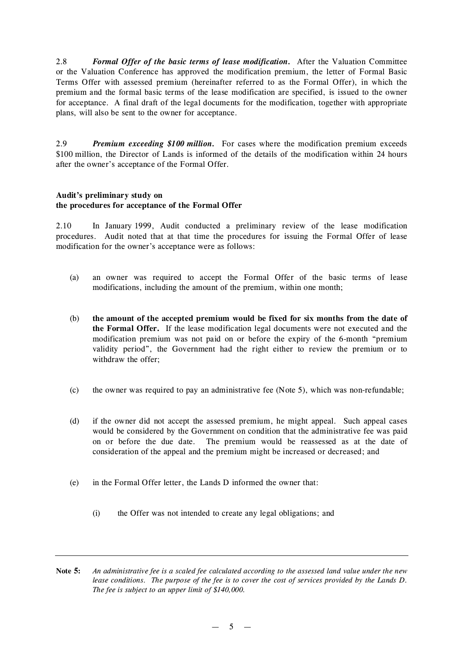2.8 *Formal Offer of the basic terms of lease modification.* After the Valuation Committee or the Valuation Conference has approved the modification premium, the letter of Formal Basic Terms Offer with assessed premium (hereinafter referred to as the Formal Offer), in which the premium and the formal basic terms of the lease modification are specified, is issued to the owner for acceptance. A final draft of the legal documents for the modification, together with appropriate plans, will also be sent to the owner for acceptance.

2.9 *Premium exceeding \$100 million.* For cases where the modification premium exceeds \$100 million, the Director of Lands is informed of the details of the modification within 24 hours after the owner's acceptance of the Formal Offer.

#### **Audit's preliminary study on the procedures for acceptance of the Formal Offer**

2.10 In January 1999, Audit conducted a preliminary review of the lease modification procedures. Audit noted that at that time the procedures for issuing the Formal Offer of lease modification for the owner's acceptance were as follows:

- (a) an owner was required to accept the Formal Offer of the basic terms of lease modifications, including the amount of the premium, within one month;
- (b) **the amount of the accepted premium would be fixed for six months from the date of the Formal Offer.** If the lease modification legal documents were not executed and the modification premium was not paid on or before the expiry of the 6-month "premium validity period", the Government had the right either to review the premium or to withdraw the offer;
- (c) the owner was required to pay an administrative fee (Note 5), which was non-refundable;
- (d) if the owner did not accept the assessed premium, he might appeal. Such appeal cases would be considered by the Government on condition that the administrative fee was paid on or before the due date. The premium would be reassessed as at the date of consideration of the appeal and the premium might be increased or decreased; and
- (e) in the Formal Offer letter, the Lands D informed the owner that:
	- (i) the Offer was not intended to create any legal obligations; and

Note 5: An administrative fee is a scaled fee calculated according to the assessed land value under the new lease conditions. The purpose of the fee is to cover the cost of services provided by the Lands D. *The fee is subject to an upper limit of \$140,000.*

 $-5 -$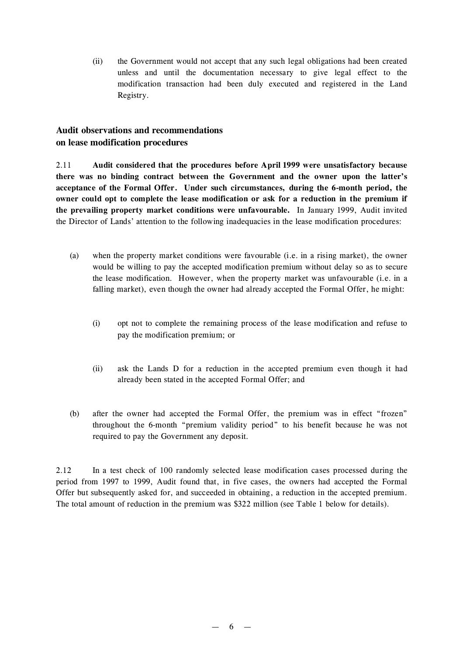(ii) the Government would not accept that any such legal obligations had been created unless and until the documentation necessary to give legal effect to the modification transaction had been duly executed and registered in the Land Registry.

# **Audit observations and recommendations on lease modification procedures**

2.11 **Audit considered that the procedures before April 1999 were unsatisfactory because there was no binding contract between the Government and the owner upon the latter's acceptance of the Formal Offer. Under such circumstances, during the 6-month period, the owner could opt to complete the lease modification or ask for a reduction in the premium if the prevailing property market conditions were unfavourable.** In January 1999, Audit invited the Director of Lands' attention to the following inadequacies in the lease modification procedures:

- (a) when the property market conditions were favourable (i.e. in a rising market), the owner would be willing to pay the accepted modification premium without delay so as to secure the lease modification. However, when the property market was unfavourable (i.e. in a falling market), even though the owner had already accepted the Formal Offer, he might:
	- (i) opt not to complete the remaining process of the lease modification and refuse to pay the modification premium; or
	- (ii) ask the Lands D for a reduction in the accepted premium even though it had already been stated in the accepted Formal Offer; and
- (b) after the owner had accepted the Formal Offer, the premium was in effect "frozen" throughout the 6-month "premium validity period" to his benefit because he was not required to pay the Government any deposit.

2.12 In a test check of 100 randomly selected lease modification cases processed during the period from 1997 to 1999, Audit found that, in five cases, the owners had accepted the Formal Offer but subsequently asked for, and succeeded in obtaining, a reduction in the accepted premium. The total amount of reduction in the premium was \$322 million (see Table 1 below for details).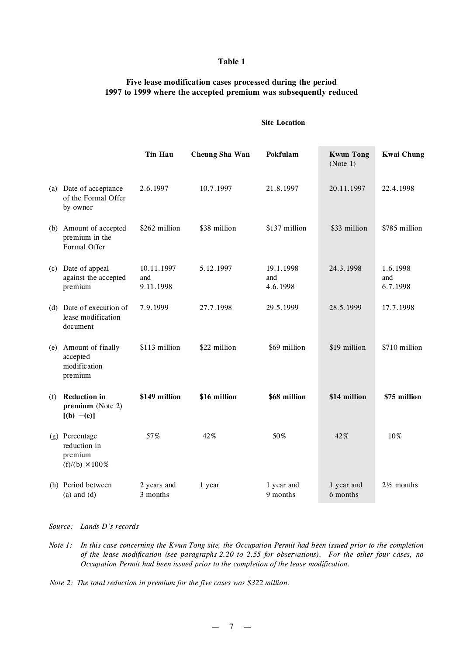#### **Table 1**

## **Five lease modification cases processed during the period 1997 to 1999 where the accepted premium was subsequently reduced**

#### **Site Location**

|     |                                                                     | <b>Tin Hau</b>                 | Cheung Sha Wan | Pokfulam                     | <b>Kwun Tong</b><br>(Note 1) | <b>Kwai Chung</b>           |
|-----|---------------------------------------------------------------------|--------------------------------|----------------|------------------------------|------------------------------|-----------------------------|
|     | (a) Date of acceptance<br>of the Formal Offer<br>by owner           | 2.6.1997                       | 10.7.1997      | 21.8.1997                    | 20.11.1997                   | 22.4.1998                   |
|     | (b) Amount of accepted<br>premium in the<br>Formal Offer            | \$262 million                  | \$38 million   | \$137 million                | \$33 million                 | \$785 million               |
| (c) | Date of appeal<br>against the accepted<br>premium                   | 10.11.1997<br>and<br>9.11.1998 | 5.12.1997      | 19.1.1998<br>and<br>4.6.1998 | 24.3.1998                    | 1.6.1998<br>and<br>6.7.1998 |
|     | (d) Date of execution of<br>lease modification<br>document          | 7.9.1999                       | 27.7.1998      | 29.5.1999                    | 28.5.1999                    | 17.7.1998                   |
| (e) | Amount of finally<br>accepted<br>modification<br>premium            | \$113 million                  | \$22 million   | \$69 million                 | \$19 million                 | \$710 million               |
| (f) | <b>Reduction in</b><br>premium (Note 2)<br>$[(b) - (e)]$            | \$149 million                  | \$16 million   | \$68 million                 | \$14 million                 | \$75 million                |
|     | (g) Percentage<br>reduction in<br>premium<br>$(f)/(b) \times 100\%$ | 57%                            | 42%            | 50%                          | 42%                          | 10%                         |
|     | (h) Period between<br>$(a)$ and $(d)$                               | 2 years and<br>3 months        | 1 year         | 1 year and<br>9 months       | 1 year and<br>6 months       | $2\frac{1}{2}$ months       |

*Source: Lands D's records*

- Note 1: In this case concerning the Kwun Tong site, the Occupation Permit had been issued prior to the completion *of the lease modification (see paragraphs 2.20 to 2.55 for observations). For the other four cases, no Occupation Permit had been issued prior to the completion of the lease modification.*
- *Note 2: The total reduction in premium for the five cases was \$322 million.*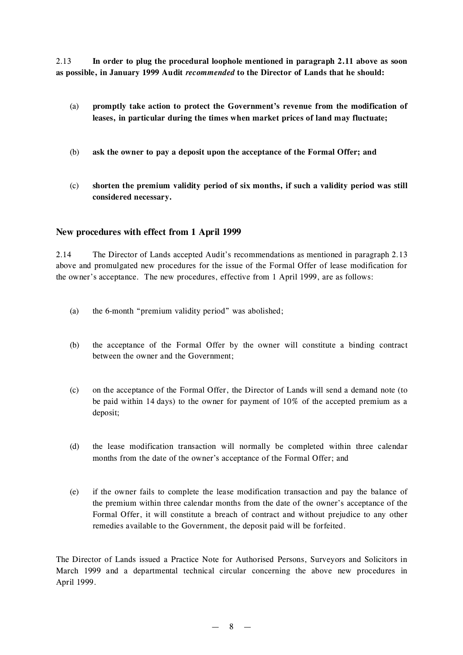2.13 **In order to plug the procedural loophole mentioned in paragraph 2.11 above as soon as possible, in January 1999 Audit** *recommended* **to the Director of Lands that he should:**

- (a) **promptly take action to protect the Government's revenue from the modification of leases, in particular during the times when market prices of land may fluctuate;**
- (b) **ask the owner to pay a deposit upon the acceptance of the Formal Offer; and**
- (c) **shorten the premium validity period of six months, if such a validity period was still considered necessary.**

### **New procedures with effect from 1 April 1999**

2.14 The Director of Lands accepted Audit's recommendations as mentioned in paragraph 2.13 above and promulgated new procedures for the issue of the Formal Offer of lease modification for the owner's acceptance. The new procedures, effective from 1 April 1999, are as follows:

- (a) the 6-month "premium validity period" was abolished;
- (b) the acceptance of the Formal Offer by the owner will constitute a binding contract between the owner and the Government;
- (c) on the acceptance of the Formal Offer, the Director of Lands will send a demand note (to be paid within 14 days) to the owner for payment of 10% of the accepted premium as a deposit;
- (d) the lease modification transaction will normally be completed within three calendar months from the date of the owner's acceptance of the Formal Offer; and
- (e) if the owner fails to complete the lease modification transaction and pay the balance of the premium within three calendar months from the date of the owner's acceptance of the Formal Offer, it will constitute a breach of contract and without prejudice to any other remedies available to the Government, the deposit paid will be forfeited.

The Director of Lands issued a Practice Note for Authorised Persons, Surveyors and Solicitors in March 1999 and a departmental technical circular concerning the above new procedures in April 1999.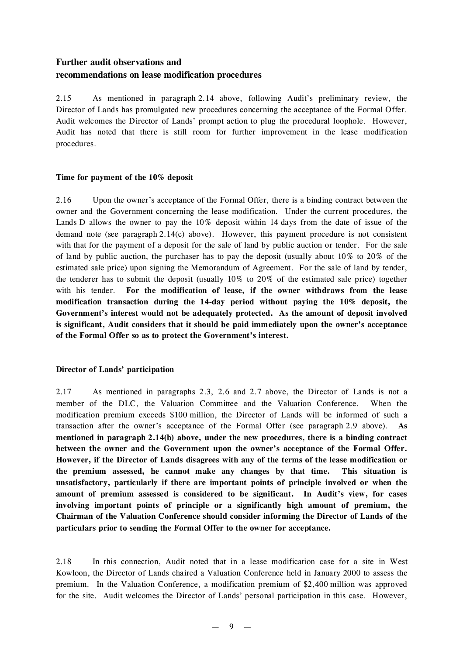# **Further audit observations and recommendations on lease modification procedures**

2.15 As mentioned in paragraph 2.14 above, following Audit's preliminary review, the Director of Lands has promulgated new procedures concerning the acceptance of the Formal Offer. Audit welcomes the Director of Lands' prompt action to plug the procedural loophole. However, Audit has noted that there is still room for further improvement in the lease modification procedures.

## **Time for payment of the 10% deposit**

2.16 Upon the owner's acceptance of the Formal Offer, there is a binding contract between the owner and the Government concerning the lease modification. Under the current procedures, the Lands D allows the owner to pay the 10% deposit within 14 days from the date of issue of the demand note (see paragraph 2.14(c) above). However, this payment procedure is not consistent with that for the payment of a deposit for the sale of land by public auction or tender. For the sale of land by public auction, the purchaser has to pay the deposit (usually about 10% to 20% of the estimated sale price) upon signing the Memorandum of Agreement. For the sale of land by tender, the tenderer has to submit the deposit (usually 10% to 20% of the estimated sale price) together with his tender. **For the modification of lease, if the owner withdraws from the lease modification transaction during the 14-day period without paying the 10% deposit, the Government's interest would not be adequately protected. As the amount of deposit involved is significant, Audit considers that it should be paid immediately upon the owner's acceptance of the Formal Offer so as to protect the Government's interest.**

## **Director of Lands' participation**

2.17 As mentioned in paragraphs 2.3, 2.6 and 2.7 above, the Director of Lands is not a member of the DLC, the Valuation Committee and the Valuation Conference. When the modification premium exceeds \$100 million, the Director of Lands will be informed of such a transaction after the owner's acceptance of the Formal Offer (see paragraph 2.9 above). **As mentioned in paragraph 2.14(b) above, under the new procedures, there is a binding contract between the owner and the Government upon the owner's acceptance of the Formal Offer. However, if the Director of Lands disagrees with any of the terms of the lease modification or the premium assessed, he cannot make any changes by that time. This situation is unsatisfactory, particularly if there are important points of principle involved or when the amount of premium assessed is considered to be significant. In Audit's view, for cases involving important points of principle or a significantly high amount of premium, the Chairman of the Valuation Conference should consider informing the Director of Lands of the particulars prior to sending the Formal Offer to the owner for acceptance.**

2.18 In this connection, Audit noted that in a lease modification case for a site in West Kowloon, the Director of Lands chaired a Valuation Conference held in January 2000 to assess the premium. In the Valuation Conference, a modification premium of \$2,400 million was approved for the site. Audit welcomes the Director of Lands' personal participation in this case. However,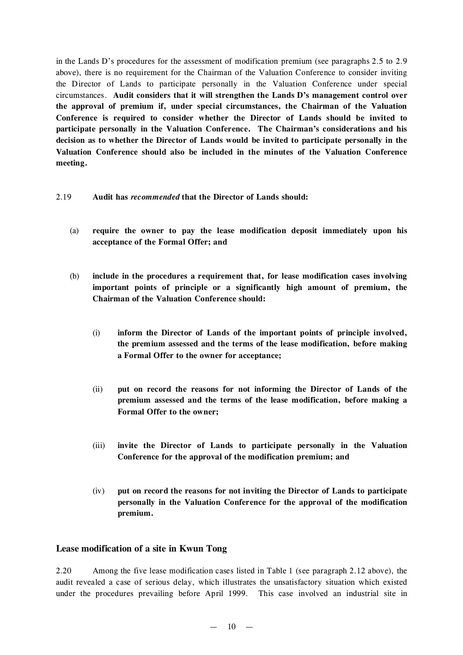in the Lands D's procedures for the assessment of modification premium (see paragraphs 2.5 to 2.9 above), there is no requirement for the Chairman of the Valuation Conference to consider inviting the Director of Lands to participate personally in the Valuation Conference under special circumstances. **Audit considers that it will strengthen the Lands D's management control over the approval of premium if, under special circumstances, the Chairman of the Valuation Conference is required to consider whether the Director of Lands should be invited to participate personally in the Valuation Conference. The Chairman's considerations and his decision as to whether the Director of Lands would be invited to participate personally in the Valuation Conference should also be included in the minutes of the Valuation Conference meeting.**

- 2.19 **Audit has** *recommended* **that the Director of Lands should:**
	- (a) **require the owner to pay the lease modification deposit immediately upon his acceptance of the Formal Offer; and**
	- (b) **include in the procedures a requirement that, for lease modification cases involving important points of principle or a significantly high amount of premium, the Chairman of the Valuation Conference should:**
		- (i) **inform the Director of Lands of the important points of principle involved, the premium assessed and the terms of the lease modification, before making a Formal Offer to the owner for acceptance;**
		- (ii) **put on record the reasons for not informing the Director of Lands of the premium assessed and the terms of the lease modification, before making a Formal Offer to the owner;**
		- (iii) **invite the Director of Lands to participate personally in the Valuation Conference for the approval of the modification premium; and**
		- (iv) **put on record the reasons for not inviting the Director of Lands to participate personally in the Valuation Conference for the approval of the modification premium.**

## **Lease modification of a site in Kwun Tong**

2.20 Among the five lease modification cases listed in Table 1 (see paragraph 2.12 above), the audit revealed a case of serious delay, which illustrates the unsatisfactory situation which existed under the procedures prevailing before April 1999. This case involved an industrial site in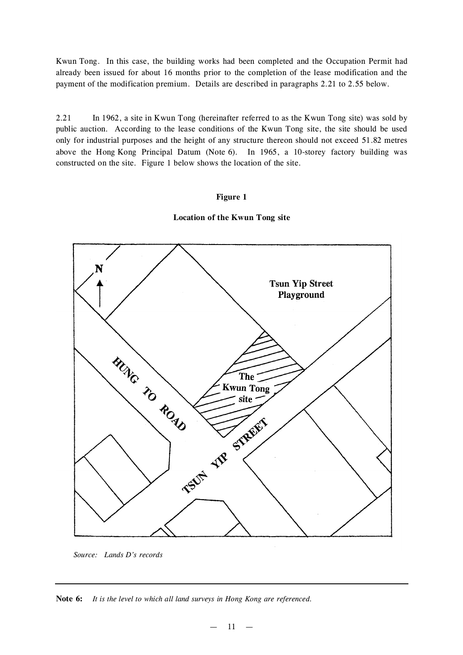Kwun Tong. In this case, the building works had been completed and the Occupation Permit had already been issued for about 16 months prior to the completion of the lease modification and the payment of the modification premium. Details are described in paragraphs 2.21 to 2.55 below.

2.21 In 1962, a site in Kwun Tong (hereinafter referred to as the Kwun Tong site) was sold by public auction. According to the lease conditions of the Kwun Tong site, the site should be used only for industrial purposes and the height of any structure thereon should not exceed 51.82 metres above the Hong Kong Principal Datum (Note 6). In 1965, a 10-storey factory building was constructed on the site. Figure 1 below shows the location of the site.

#### **Figure 1**





*Source: Lands D's records*

**Note 6:** *It is the level to which all land surveys in Hong Kong are referenced.*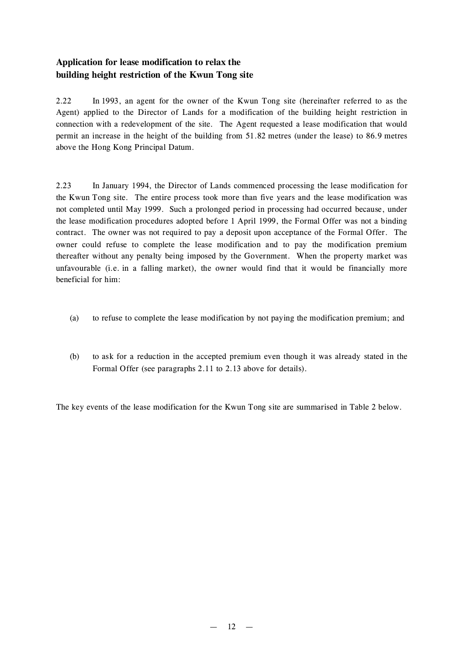# **Application for lease modification to relax the building height restriction of the Kwun Tong site**

2.22 In 1993, an agent for the owner of the Kwun Tong site (hereinafter referred to as the Agent) applied to the Director of Lands for a modification of the building height restriction in connection with a redevelopment of the site. The Agent requested a lease modification that would permit an increase in the height of the building from 51.82 metres (under the lease) to 86.9 metres above the Hong Kong Principal Datum.

2.23 In January 1994, the Director of Lands commenced processing the lease modification for the Kwun Tong site. The entire process took more than five years and the lease modification was not completed until May 1999. Such a prolonged period in processing had occurred because, under the lease modification procedures adopted before 1 April 1999, the Formal Offer was not a binding contract. The owner was not required to pay a deposit upon acceptance of the Formal Offer. The owner could refuse to complete the lease modification and to pay the modification premium thereafter without any penalty being imposed by the Government. When the property market was unfavourable (i.e. in a falling market), the owner would find that it would be financially more beneficial for him:

- (a) to refuse to complete the lease modification by not paying the modification premium; and
- (b) to ask for a reduction in the accepted premium even though it was already stated in the Formal Offer (see paragraphs 2.11 to 2.13 above for details).

The key events of the lease modification for the Kwun Tong site are summarised in Table 2 below.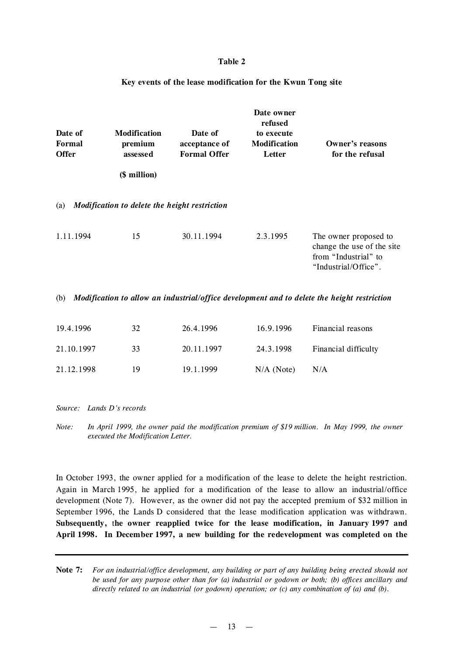#### **Table 2**

#### **Key events of the lease modification for the Kwun Tong site**

| Date of<br><b>Formal</b><br><b>Offer</b> | <b>Modification</b><br>premium<br>assessed<br>(\$ million) | Date of<br>acceptance of<br><b>Formal Offer</b> | Date owner<br>refused<br>to execute<br><b>Modification</b><br>Letter | <b>Owner's reasons</b><br>for the refusal                                                           |
|------------------------------------------|------------------------------------------------------------|-------------------------------------------------|----------------------------------------------------------------------|-----------------------------------------------------------------------------------------------------|
| (a)                                      | Modification to delete the height restriction              |                                                 |                                                                      |                                                                                                     |
| 1.11.1994                                | 15                                                         | 30.11.1994                                      | 2.3.1995                                                             | The owner proposed to<br>change the use of the site<br>from "Industrial" to<br>"Industrial/Office". |
| (b)                                      |                                                            |                                                 |                                                                      | Modification to allow an industrial/office development and to delete the height restriction         |
| 19.4.1996                                | 32                                                         | 26.4.1996                                       | 16.9.1996                                                            | Financial reasons                                                                                   |
| 21.10.1997                               | 33                                                         | 20.11.1997                                      | 24.3.1998                                                            | Financial difficulty                                                                                |
| 21.12.1998                               | 19                                                         | 19.1.1999                                       | $N/A$ (Note)                                                         | N/A                                                                                                 |
|                                          |                                                            |                                                 |                                                                      |                                                                                                     |

*Source: Lands D's records*

Note: In April 1999, the owner paid the modification premium of \$19 million. In May 1999, the owner *executed the Modification Letter.*

In October 1993, the owner applied for a modification of the lease to delete the height restriction. Again in March 1995, he applied for a modification of the lease to allow an industrial/office development (Note 7). However, as the owner did not pay the accepted premium of \$32 million in September 1996, the Lands D considered that the lease modification application was withdrawn. **Subsequently,** t**he owner reapplied twice for the lease modification, in January 1997 and April 1998. In December 1997, a new building for the redevelopment was completed on the**

Note 7: For an industrial/office development, any building or part of any building being erected should not *be used for any purpose other than for (a) industrial or godown or both; (b) offices ancillary and directly related to an industrial (or godown) operation; or (c) any combination of (a) and (b).*

 $-13 -$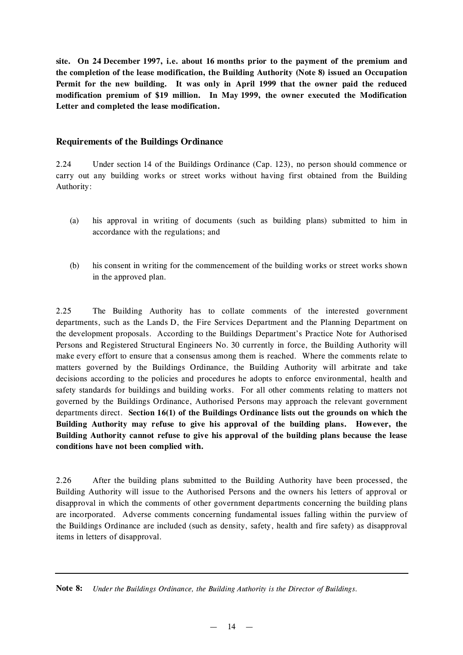**site. On 24 December 1997, i.e. about 16 months prior to the payment of the premium and the completion of the lease modification, the Building Authority (Note 8) issued an Occupation Permit for the new building. It was only in April 1999 that the owner paid the reduced modification premium of \$19 million. In May 1999, the owner executed the Modification Letter and completed the lease modification.**

## **Requirements of the Buildings Ordinance**

2.24 Under section 14 of the Buildings Ordinance (Cap. 123), no person should commence or carry out any building works or street works without having first obtained from the Building Authority:

- (a) his approval in writing of documents (such as building plans) submitted to him in accordance with the regulations; and
- (b) his consent in writing for the commencement of the building works or street works shown in the approved plan.

2.25 The Building Authority has to collate comments of the interested government departments, such as the Lands D, the Fire Services Department and the Planning Department on the development proposals. According to the Buildings Department's Practice Note for Authorised Persons and Registered Structural Engineers No. 30 currently in force, the Building Authority will make every effort to ensure that a consensus among them is reached. Where the comments relate to matters governed by the Buildings Ordinance, the Building Authority will arbitrate and take decisions according to the policies and procedures he adopts to enforce environmental, health and safety standards for buildings and building works. For all other comments relating to matters not governed by the Buildings Ordinance, Authorised Persons may approach the relevant government departments direct. **Section 16(1) of the Buildings Ordinance lists out the grounds on which the Building Authority may refuse to give his approval of the building plans. However, the Building Authority cannot refuse to give his approval of the building plans because the lease conditions have not been complied with.**

2.26 After the building plans submitted to the Building Authority have been processed, the Building Authority will issue to the Authorised Persons and the owners his letters of approval or disapproval in which the comments of other government departments concerning the building plans are incorporated. Adverse comments concerning fundamental issues falling within the purview of the Buildings Ordinance are included (such as density, safety, health and fire safety) as disapproval items in letters of disapproval.

**Note 8:** *Under the Buildings Ordinance, the Building Authority is the Director of Buildings.*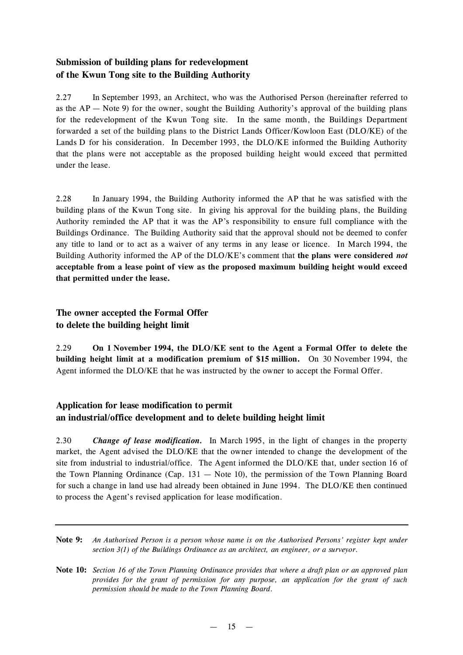# **Submission of building plans for redevelopment of the Kwun Tong site to the Building Authority**

2.27 In September 1993, an Architect, who was the Authorised Person (hereinafter referred to as the  $AP - Note$  9) for the owner, sought the Building Authority's approval of the building plans for the redevelopment of the Kwun Tong site. In the same month, the Buildings Department forwarded a set of the building plans to the District Lands Officer/Kowloon East (DLO/KE) of the Lands D for his consideration. In December 1993, the DLO/KE informed the Building Authority that the plans were not acceptable as the proposed building height would exceed that permitted under the lease.

2.28 In January 1994, the Building Authority informed the AP that he was satisfied with the building plans of the Kwun Tong site. In giving his approval for the building plans, the Building Authority reminded the AP that it was the AP's responsibility to ensure full compliance with the Buildings Ordinance. The Building Authority said that the approval should not be deemed to confer any title to land or to act as a waiver of any terms in any lease or licence. In March 1994, the Building Authority informed the AP of the DLO/KE's comment that **the plans were considered** *not* **acceptable from a lease point of view as the proposed maximum building height would exceed that permitted under the lease.**

# **The owner accepted the Formal Offer to delete the building height limit**

2.29 **On 1 November 1994, the DLO/KE sent to the Agent a Formal Offer to delete the building height limit at a modification premium of \$15 million.** On 30 November 1994, the Agent informed the DLO/KE that he was instructed by the owner to accept the Formal Offer.

# **Application for lease modification to permit an industrial/office development and to delete building height limit**

2.30 *Change of lease modification.* In March 1995, in the light of changes in the property market, the Agent advised the DLO/KE that the owner intended to change the development of the site from industrial to industrial/office. The Agent informed the DLO/KE that, under section 16 of the Town Planning Ordinance (Cap.  $131 -$  Note 10), the permission of the Town Planning Board for such a change in land use had already been obtained in June 1994. The DLO/KE then continued to process the Agent's revised application for lease modification.

Note 9: An Authorised Person is a person whose name is on the Authorised Persons' register kept under *section 3(1) of the Buildings Ordinance as an architect, an engineer, or a surveyor.*

Note 10: Section 16 of the Town Planning Ordinance provides that where a draft plan or an approved plan *provides for the grant of permission for any purpose, an application for the grant of such permission should be made to the Town Planning Board.*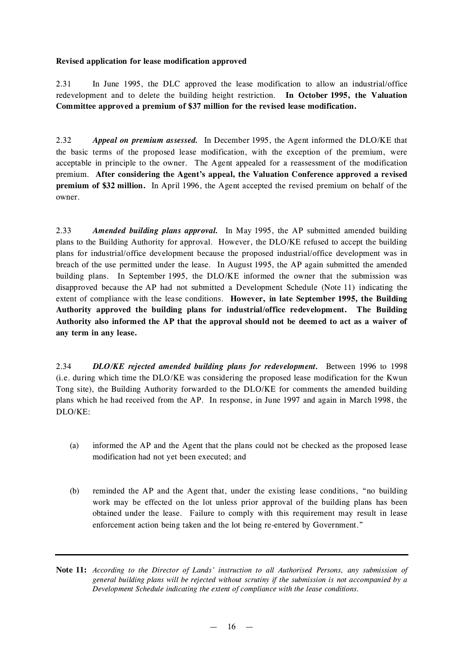### **Revised application for lease modification approved**

2.31 In June 1995, the DLC approved the lease modification to allow an industrial/office redevelopment and to delete the building height restriction. **In October 1995, the Valuation Committee approved a premium of \$37 million for the revised lease modification.**

2.32 *Appeal on premium assessed.* In December 1995, the Agent informed the DLO/KE that the basic terms of the proposed lease modification, with the exception of the premium, were acceptable in principle to the owner. The Agent appealed for a reassessment of the modification premium. **After considering the Agent's appeal, the Valuation Conference approved a revised premium of \$32 million.** In April 1996, the Agent accepted the revised premium on behalf of the owner.

2.33 *Amended building plans approval.* In May 1995, the AP submitted amended building plans to the Building Authority for approval. However, the DLO/KE refused to accept the building plans for industrial/office development because the proposed industrial/office development was in breach of the use permitted under the lease. In August 1995, the AP again submitted the amended building plans. In September 1995, the DLO/KE informed the owner that the submission was disapproved because the AP had not submitted a Development Schedule (Note 11) indicating the extent of compliance with the lease conditions. **However, in late September 1995, the Building Authority approved the building plans for industrial/office redevelopment. The Building Authority also informed the AP that the approval should not be deemed to act as a waiver of any term in any lease.**

2.34 *DLO/KE rejected amended building plans for redevelopment.* Between 1996 to 1998 (i.e. during which time the DLO/KE was considering the proposed lease modification for the Kwun Tong site), the Building Authority forwarded to the DLO/KE for comments the amended building plans which he had received from the AP. In response, in June 1997 and again in March 1998, the DLO/KE:

- (a) informed the AP and the Agent that the plans could not be checked as the proposed lease modification had not yet been executed; and
- (b) reminded the AP and the Agent that, under the existing lease conditions, "no building work may be effected on the lot unless prior approval of the building plans has been obtained under the lease. Failure to comply with this requirement may result in lease enforcement action being taken and the lot being re-entered by Government."

**Note 11:** *According to the Director of Lands' instruction to all Authorised Persons, any submission of general building plans will be rejected without scrutiny if the submission is not accompanied by a Development Schedule indicating the extent of compliance with the lease conditions.*

 $-16 -$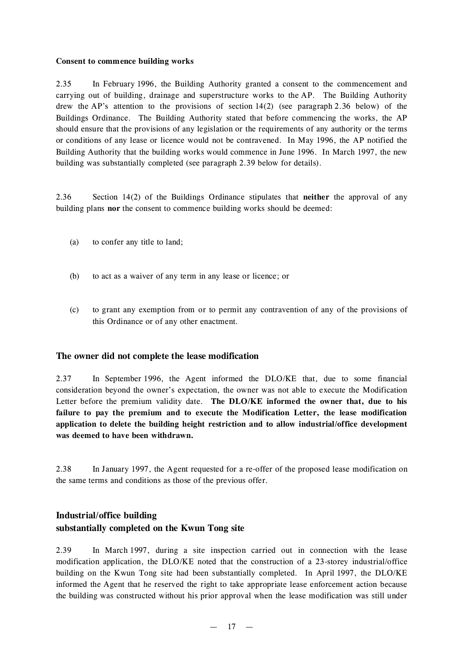### **Consent to commence building works**

2.35 In February 1996, the Building Authority granted a consent to the commencement and carrying out of building, drainage and superstructure works to the AP. The Building Authority drew the AP's attention to the provisions of section 14(2) (see paragraph 2.36 below) of the Buildings Ordinance. The Building Authority stated that before commencing the works, the AP should ensure that the provisions of any legislation or the requirements of any authority or the terms or conditions of any lease or licence would not be contravened. In May 1996, the AP notified the Building Authority that the building works would commence in June 1996. In March 1997, the new building was substantially completed (see paragraph 2.39 below for details).

2.36 Section 14(2) of the Buildings Ordinance stipulates that **neither** the approval of any building plans **nor** the consent to commence building works should be deemed:

- (a) to confer any title to land;
- (b) to act as a waiver of any term in any lease or licence; or
- (c) to grant any exemption from or to permit any contravention of any of the provisions of this Ordinance or of any other enactment.

## **The owner did not complete the lease modification**

2.37 In September 1996, the Agent informed the DLO/KE that, due to some financial consideration beyond the owner's expectation, the owner was not able to execute the Modification Letter before the premium validity date. **The DLO/KE informed the owner that, due to his failure to pay the premium and to execute the Modification Letter, the lease modification application to delete the building height restriction and to allow industrial/office development was deemed to have been withdrawn.**

2.38 In January 1997, the Agent requested for a re-offer of the proposed lease modification on the same terms and conditions as those of the previous offer.

# **Industrial/office building substantially completed on the Kwun Tong site**

2.39 In March 1997, during a site inspection carried out in connection with the lease modification application, the DLO/KE noted that the construction of a 23-storey industrial/office building on the Kwun Tong site had been substantially completed. In April 1997, the DLO/KE informed the Agent that he reserved the right to take appropriate lease enforcement action because the building was constructed without his prior approval when the lease modification was still under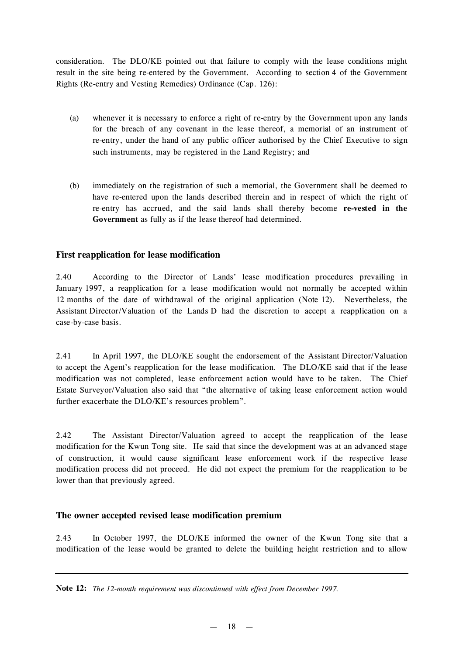consideration. The DLO/KE pointed out that failure to comply with the lease conditions might result in the site being re-entered by the Government. According to section 4 of the Government Rights (Re-entry and Vesting Remedies) Ordinance (Cap. 126):

- (a) whenever it is necessary to enforce a right of re-entry by the Government upon any lands for the breach of any covenant in the lease thereof, a memorial of an instrument of re-entry, under the hand of any public officer authorised by the Chief Executive to sign such instruments, may be registered in the Land Registry; and
- (b) immediately on the registration of such a memorial, the Government shall be deemed to have re-entered upon the lands described therein and in respect of which the right of re-entry has accrued, and the said lands shall thereby become **re-vested in the Government** as fully as if the lease thereof had determined.

## **First reapplication for lease modification**

2.40 According to the Director of Lands' lease modification procedures prevailing in January 1997, a reapplication for a lease modification would not normally be accepted within 12 months of the date of withdrawal of the original application (Note 12). Nevertheless, the Assistant Director/Valuation of the Lands D had the discretion to accept a reapplication on a case-by-case basis.

2.41 In April 1997, the DLO/KE sought the endorsement of the Assistant Director/Valuation to accept the Agent's reapplication for the lease modification. The DLO/KE said that if the lease modification was not completed, lease enforcement action would have to be taken. The Chief Estate Surveyor/Valuation also said that "the alternative of taking lease enforcement action would further exacerbate the DLO/KE's resources problem".

2.42 The Assistant Director/Valuation agreed to accept the reapplication of the lease modification for the Kwun Tong site. He said that since the development was at an advanced stage of construction, it would cause significant lease enforcement work if the respective lease modification process did not proceed. He did not expect the premium for the reapplication to be lower than that previously agreed.

## **The owner accepted revised lease modification premium**

2.43 In October 1997, the DLO/KE informed the owner of the Kwun Tong site that a modification of the lease would be granted to delete the building height restriction and to allow

**Note 12:** *The 12-month requirement was discontinued with effect from December 1997.*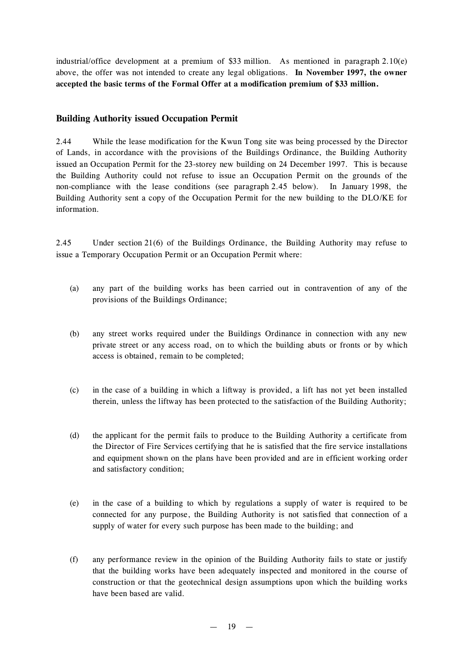industrial/office development at a premium of \$33 million. As mentioned in paragraph 2.10(e) above, the offer was not intended to create any legal obligations. **In November 1997, the owner accepted the basic terms of the Formal Offer at a modification premium of \$33 million.**

## **Building Authority issued Occupation Permit**

2.44 While the lease modification for the Kwun Tong site was being processed by the Director of Lands, in accordance with the provisions of the Buildings Ordinance, the Building Authority issued an Occupation Permit for the 23-storey new building on 24 December 1997. This is because the Building Authority could not refuse to issue an Occupation Permit on the grounds of the non-compliance with the lease conditions (see paragraph 2.45 below). In January 1998, the Building Authority sent a copy of the Occupation Permit for the new building to the DLO/KE for information.

2.45 Under section 21(6) of the Buildings Ordinance, the Building Authority may refuse to issue a Temporary Occupation Permit or an Occupation Permit where:

- (a) any part of the building works has been carried out in contravention of any of the provisions of the Buildings Ordinance;
- (b) any street works required under the Buildings Ordinance in connection with any new private street or any access road, on to which the building abuts or fronts or by which access is obtained, remain to be completed;
- (c) in the case of a building in which a liftway is provided, a lift has not yet been installed therein, unless the liftway has been protected to the satisfaction of the Building Authority;
- (d) the applicant for the permit fails to produce to the Building Authority a certificate from the Director of Fire Services certifying that he is satisfied that the fire service installations and equipment shown on the plans have been provided and are in efficient working order and satisfactory condition;
- (e) in the case of a building to which by regulations a supply of water is required to be connected for any purpose, the Building Authority is not satisfied that connection of a supply of water for every such purpose has been made to the building; and
- (f) any performance review in the opinion of the Building Authority fails to state or justify that the building works have been adequately inspected and monitored in the course of construction or that the geotechnical design assumptions upon which the building works have been based are valid.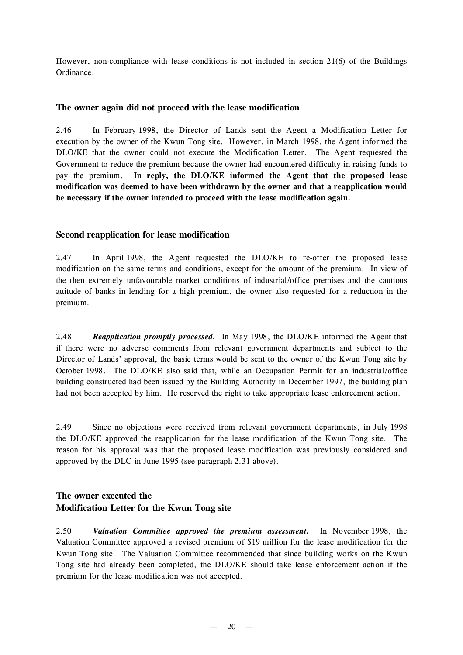However, non-compliance with lease conditions is not included in section 21(6) of the Buildings Ordinance.

## **The owner again did not proceed with the lease modification**

2.46 In February 1998, the Director of Lands sent the Agent a Modification Letter for execution by the owner of the Kwun Tong site. However, in March 1998, the Agent informed the DLO/KE that the owner could not execute the Modification Letter. The Agent requested the Government to reduce the premium because the owner had encountered difficulty in raising funds to pay the premium. **In reply, the DLO/KE informed the Agent that the proposed lease modification was deemed to have been withdrawn by the owner and that a reapplication would be necessary if the owner intended to proceed with the lease modification again.**

### **Second reapplication for lease modification**

2.47 In April 1998, the Agent requested the DLO/KE to re-offer the proposed lease modification on the same terms and conditions, except for the amount of the premium. In view of the then extremely unfavourable market conditions of industrial/office premises and the cautious attitude of banks in lending for a high premium, the owner also requested for a reduction in the premium.

2.48 *Reapplication promptly processed.* In May 1998, the DLO/KE informed the Agent that if there were no adverse comments from relevant government departments and subject to the Director of Lands' approval, the basic terms would be sent to the owner of the Kwun Tong site by October 1998. The DLO/KE also said that, while an Occupation Permit for an industrial/office building constructed had been issued by the Building Authority in December 1997, the building plan had not been accepted by him. He reserved the right to take appropriate lease enforcement action.

2.49 Since no objections were received from relevant government departments, in July 1998 the DLO/KE approved the reapplication for the lease modification of the Kwun Tong site. The reason for his approval was that the proposed lease modification was previously considered and approved by the DLC in June 1995 (see paragraph 2.31 above).

# **The owner executed the Modification Letter for the Kwun Tong site**

2.50 *Valuation Committee approved the premium assessment.* In November 1998, the Valuation Committee approved a revised premium of \$19 million for the lease modification for the Kwun Tong site. The Valuation Committee recommended that since building works on the Kwun Tong site had already been completed, the DLO/KE should take lease enforcement action if the premium for the lease modification was not accepted.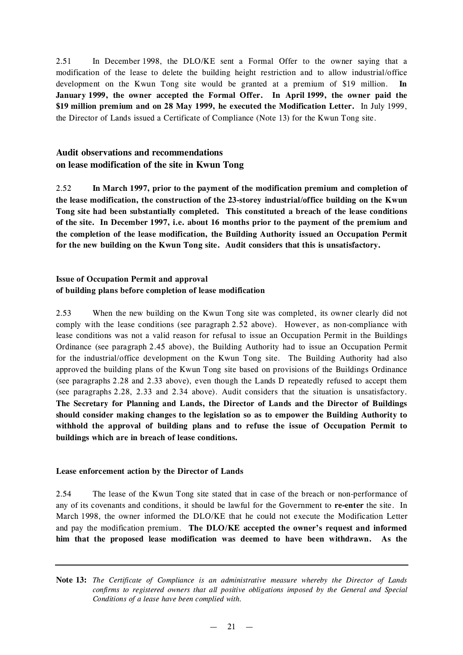2.51 In December 1998, the DLO/KE sent a Formal Offer to the owner saying that a modification of the lease to delete the building height restriction and to allow industrial/office development on the Kwun Tong site would be granted at a premium of \$19 million. **In January 1999, the owner accepted the Formal Offer. In April 1999, the owner paid the \$19 million premium and on 28 May 1999, he executed the Modification Letter.** In July 1999, the Director of Lands issued a Certificate of Compliance (Note 13) for the Kwun Tong site.

# **Audit observations and recommendations on lease modification of the site in Kwun Tong**

2.52 **In March 1997, prior to the payment of the modification premium and completion of the lease modification, the construction of the 23-storey industrial/office building on the Kwun Tong site had been substantially completed. This constituted a breach of the lease conditions of the site. In December 1997, i.e. about 16 months prior to the payment of the premium and the completion of the lease modification, the Building Authority issued an Occupation Permit for the new building on the Kwun Tong site. Audit considers that this is unsatisfactory.**

## **Issue of Occupation Permit and approval of building plans before completion of lease modification**

2.53 When the new building on the Kwun Tong site was completed, its owner clearly did not comply with the lease conditions (see paragraph 2.52 above). However, as non-compliance with lease conditions was not a valid reason for refusal to issue an Occupation Permit in the Buildings Ordinance (see paragraph 2.45 above), the Building Authority had to issue an Occupation Permit for the industrial/office development on the Kwun Tong site. The Building Authority had also approved the building plans of the Kwun Tong site based on provisions of the Buildings Ordinance (see paragraphs 2.28 and 2.33 above), even though the Lands D repeatedly refused to accept them (see paragraphs 2.28, 2.33 and 2.34 above). Audit considers that the situation is unsatisfactory. **The Secretary for Planning and Lands, the Director of Lands and the Director of Buildings should consider making changes to the legislation so as to empower the Building Authority to withhold the approval of building plans and to refuse the issue of Occupation Permit to buildings which are in breach of lease conditions.**

## **Lease enforcement action by the Director of Lands**

2.54 The lease of the Kwun Tong site stated that in case of the breach or non-performance of any of its covenants and conditions, it should be lawful for the Government to **re-enter** the site. In March 1998, the owner informed the DLO/KE that he could not execute the Modification Letter and pay the modification premium. **The DLO/KE accepted the owner's request and informed him that the proposed lease modification was deemed to have been withdrawn. As the**

**Note 13:** *The Certificate of Compliance is an administrative measure whereby the Director of Lands confirms to registered owners that all positive obligations imposed by the General and Special Conditions of a lease have been complied with.*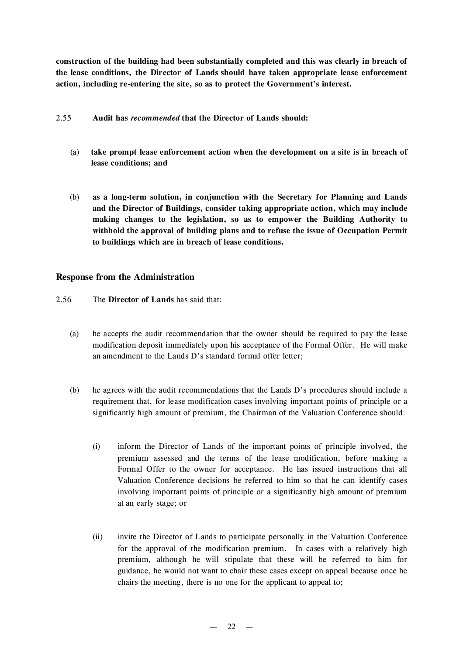**construction of the building had been substantially completed and this was clearly in breach of the lease conditions, the Director of Lands should have taken appropriate lease enforcement action, including re-entering the site, so as to protect the Government's interest.**

- 2.55 **Audit has** *recommended* **that the Director of Lands should:**
	- (a) **take prompt lease enforcement action when the development on a site is in breach of lease conditions; and**
	- (b) **as a long-term solution, in conjunction with the Secretary for Planning and Lands and the Director of Buildings, consider taking appropriate action, which may include making changes to the legislation, so as to empower the Building Authority to withhold the approval of building plans and to refuse the issue of Occupation Permit to buildings which are in breach of lease conditions.**

## **Response from the Administration**

- 2.56 The **Director of Lands** has said that:
	- (a) he accepts the audit recommendation that the owner should be required to pay the lease modification deposit immediately upon his acceptance of the Formal Offer. He will make an amendment to the Lands D's standard formal offer letter;
	- (b) he agrees with the audit recommendations that the Lands D's procedures should include a requirement that, for lease modification cases involving important points of principle or a significantly high amount of premium, the Chairman of the Valuation Conference should:
		- (i) inform the Director of Lands of the important points of principle involved, the premium assessed and the terms of the lease modification, before making a Formal Offer to the owner for acceptance. He has issued instructions that all Valuation Conference decisions be referred to him so that he can identify cases involving important points of principle or a significantly high amount of premium at an early stage; or
		- (ii) invite the Director of Lands to participate personally in the Valuation Conference for the approval of the modification premium. In cases with a relatively high premium, although he will stipulate that these will be referred to him for guidance, he would not want to chair these cases except on appeal because once he chairs the meeting, there is no one for the applicant to appeal to;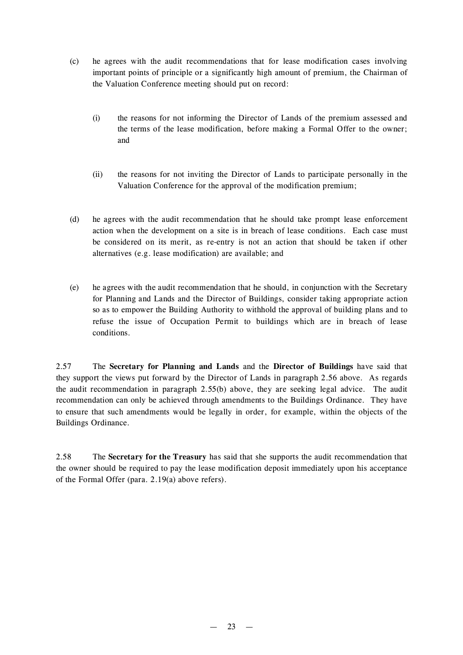- (c) he agrees with the audit recommendations that for lease modification cases involving important points of principle or a significantly high amount of premium, the Chairman of the Valuation Conference meeting should put on record:
	- (i) the reasons for not informing the Director of Lands of the premium assessed and the terms of the lease modification, before making a Formal Offer to the owner; and
	- (ii) the reasons for not inviting the Director of Lands to participate personally in the Valuation Conference for the approval of the modification premium;
- (d) he agrees with the audit recommendation that he should take prompt lease enforcement action when the development on a site is in breach of lease conditions. Each case must be considered on its merit, as re-entry is not an action that should be taken if other alternatives (e.g. lease modification) are available; and
- (e) he agrees with the audit recommendation that he should, in conjunction with the Secretary for Planning and Lands and the Director of Buildings, consider taking appropriate action so as to empower the Building Authority to withhold the approval of building plans and to refuse the issue of Occupation Permit to buildings which are in breach of lease conditions.

2.57 The **Secretary for Planning and Lands** and the **Director of Buildings** have said that they support the views put forward by the Director of Lands in paragraph 2.56 above. As regards the audit recommendation in paragraph 2.55(b) above, they are seeking legal advice. The audit recommendation can only be achieved through amendments to the Buildings Ordinance. They have to ensure that such amendments would be legally in order, for example, within the objects of the Buildings Ordinance.

2.58 The **Secretary for the Treasury** has said that she supports the audit recommendation that the owner should be required to pay the lease modification deposit immediately upon his acceptance of the Formal Offer (para. 2.19(a) above refers).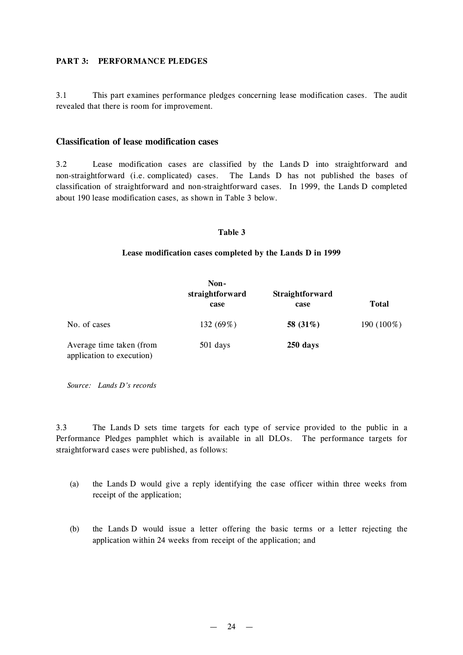#### **PART 3: PERFORMANCE PLEDGES**

3.1 This part examines performance pledges concerning lease modification cases. The audit revealed that there is room for improvement.

### **Classification of lease modification cases**

3.2 Lease modification cases are classified by the Lands D into straightforward and non-straightforward (i.e. complicated) cases. The Lands D has not published the bases of classification of straightforward and non-straightforward cases. In 1999, the Lands D completed about 190 lease modification cases, as shown in Table 3 below.

#### **Table 3**

#### **Lease modification cases completed by the Lands D in 1999**

|                                                       | Non-<br>straightforward<br>case | <b>Straightforward</b><br>case | <b>Total</b> |
|-------------------------------------------------------|---------------------------------|--------------------------------|--------------|
| No. of cases                                          | 132 (69%)                       | 58 (31%)                       | 190 (100%)   |
| Average time taken (from<br>application to execution) | 501 days                        | 250 days                       |              |

*Source: Lands D's records*

3.3 The Lands D sets time targets for each type of service provided to the public in a Performance Pledges pamphlet which is available in all DLOs. The performance targets for straightforward cases were published, as follows:

- (a) the Lands D would give a reply identifying the case officer within three weeks from receipt of the application;
- (b) the Lands D would issue a letter offering the basic terms or a letter rejecting the application within 24 weeks from receipt of the application; and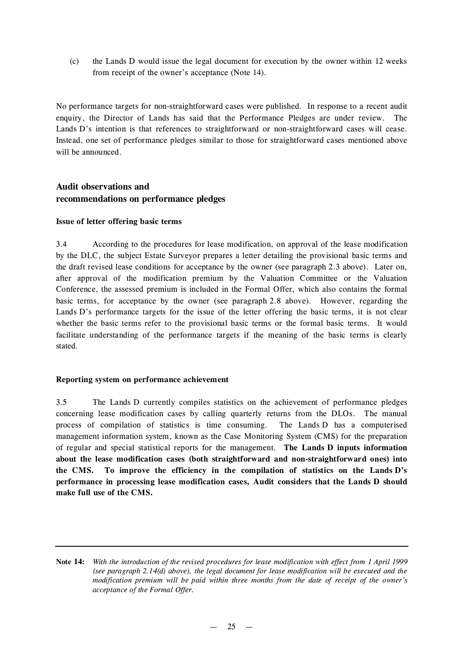(c) the Lands D would issue the legal document for execution by the owner within 12 weeks from receipt of the owner's acceptance (Note 14).

No performance targets for non-straightforward cases were published. In response to a recent audit enquiry, the Director of Lands has said that the Performance Pledges are under review. The Lands D's intention is that references to straightforward or non-straightforward cases will cease. Instead, one set of performance pledges similar to those for straightforward cases mentioned above will be announced.

## **Audit observations and recommendations on performance pledges**

#### **Issue of letter offering basic terms**

3.4 According to the procedures for lease modification, on approval of the lease modification by the DLC, the subject Estate Surveyor prepares a letter detailing the provisional basic terms and the draft revised lease conditions for acceptance by the owner (see paragraph 2.3 above). Later on, after approval of the modification premium by the Valuation Committee or the Valuation Conference, the assessed premium is included in the Formal Offer, which also contains the formal basic terms, for acceptance by the owner (see paragraph 2.8 above). However, regarding the Lands D's performance targets for the issue of the letter offering the basic terms, it is not clear whether the basic terms refer to the provisional basic terms or the formal basic terms. It would facilitate understanding of the performance targets if the meaning of the basic terms is clearly stated.

#### **Reporting system on performance achievement**

3.5 The Lands D currently compiles statistics on the achievement of performance pledges concerning lease modification cases by calling quarterly returns from the DLOs. The manual process of compilation of statistics is time consuming. The Lands D has a computerised management information system, known as the Case Monitoring System (CMS) for the preparation of regular and special statistical reports for the management. **The Lands D inputs information about the lease modification cases (both straightforward and non-straightforward ones) into the CMS. To improve the efficiency in the compilation of statistics on the Lands D's performance in processing lease modification cases, Audit considers that the Lands D should make full use of the CMS.**

Note 14: With the introduction of the revised procedures for lease modification with effect from 1 April 1999 *(see paragraph 2.14(d) above), the legal document for lease modification will be executed and the modification premium will be paid within three months from the date of receipt of the owner's acceptance of the Formal Offer.*

 $-25 -$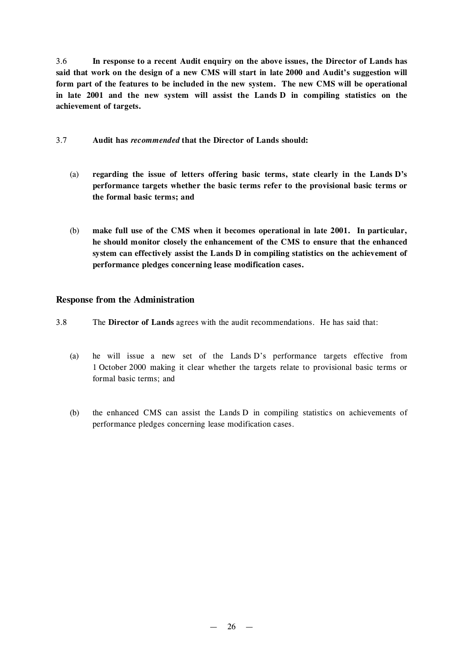3.6 **In response to a recent Audit enquiry on the above issues, the Director of Lands has** said that work on the design of a new CMS will start in late 2000 and Audit's suggestion will **form part of the features to be included in the new system. The new CMS will be operational in late 2001 and the new system will assist the Lands D in compiling statistics on the achievement of targets.**

### 3.7 **Audit has** *recommended* **that the Director of Lands should:**

- (a) **regarding the issue of letters offering basic terms, state clearly in the Lands D's performance targets whether the basic terms refer to the provisional basic terms or the formal basic terms; and**
- (b) **make full use of the CMS when it becomes operational in late 2001. In particular, he should monitor closely the enhancement of the CMS to ensure that the enhanced system can effectively assist the Lands D in compiling statistics on the achievement of performance pledges concerning lease modification cases.**

### **Response from the Administration**

- 3.8 The **Director of Lands** agrees with the audit recommendations. He has said that:
	- (a) he will issue a new set of the Lands D's performance targets effective from 1 October 2000 making it clear whether the targets relate to provisional basic terms or formal basic terms; and
	- (b) the enhanced CMS can assist the Lands D in compiling statistics on achievements of performance pledges concerning lease modification cases.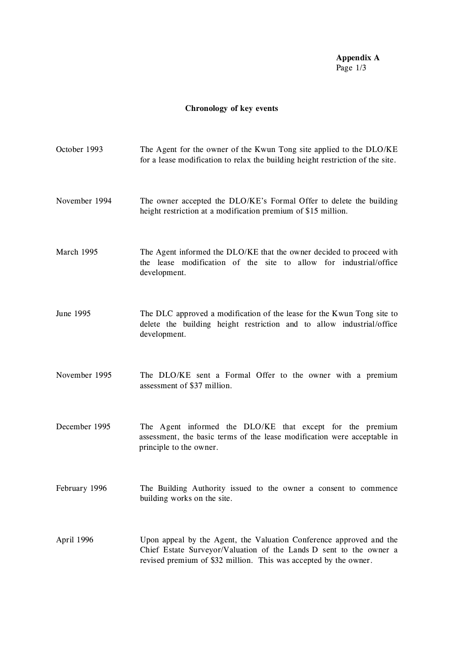**Appendix A** Page 1/3

# **Chronology of key events**

| October 1993  | The Agent for the owner of the Kwun Tong site applied to the DLO/KE<br>for a lease modification to relax the building height restriction of the site.                                                         |
|---------------|---------------------------------------------------------------------------------------------------------------------------------------------------------------------------------------------------------------|
| November 1994 | The owner accepted the DLO/KE's Formal Offer to delete the building<br>height restriction at a modification premium of \$15 million.                                                                          |
| March 1995    | The Agent informed the DLO/KE that the owner decided to proceed with<br>the lease modification of the site to allow for industrial/office<br>development.                                                     |
| June 1995     | The DLC approved a modification of the lease for the Kwun Tong site to<br>delete the building height restriction and to allow industrial/office<br>development.                                               |
| November 1995 | The DLO/KE sent a Formal Offer to the owner with a premium<br>assessment of \$37 million.                                                                                                                     |
| December 1995 | The Agent informed the DLO/KE that except for the premium<br>assessment, the basic terms of the lease modification were acceptable in<br>principle to the owner.                                              |
| February 1996 | The Building Authority issued to the owner a consent to commence<br>building works on the site.                                                                                                               |
| April 1996    | Upon appeal by the Agent, the Valuation Conference approved and the<br>Chief Estate Surveyor/Valuation of the Lands D sent to the owner a<br>revised premium of \$32 million. This was accepted by the owner. |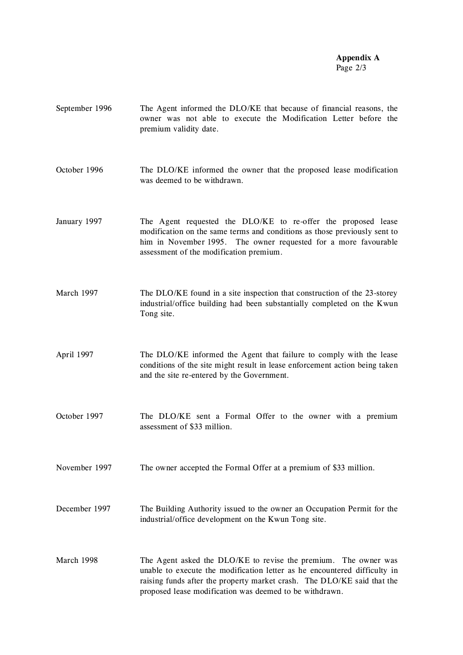#### **Appendix A** Page 2/3

- September 1996 The Agent informed the DLO/KE that because of financial reasons, the owner was not able to execute the Modification Letter before the premium validity date.
- October 1996 The DLO/KE informed the owner that the proposed lease modification was deemed to be withdrawn.
- January 1997 The Agent requested the DLO/KE to re-offer the proposed lease modification on the same terms and conditions as those previously sent to him in November 1995. The owner requested for a more favourable assessment of the modification premium.
- March 1997 The DLO/KE found in a site inspection that construction of the 23-storey industrial/office building had been substantially completed on the Kwun Tong site.
- April 1997 The DLO/KE informed the Agent that failure to comply with the lease conditions of the site might result in lease enforcement action being taken and the site re-entered by the Government.
- October 1997 The DLO/KE sent a Formal Offer to the owner with a premium assessment of \$33 million.
- November 1997 The owner accepted the Formal Offer at a premium of \$33 million.
- December 1997 The Building Authority issued to the owner an Occupation Permit for the industrial/office development on the Kwun Tong site.
- March 1998 The Agent asked the DLO/KE to revise the premium. The owner was unable to execute the modification letter as he encountered difficulty in raising funds after the property market crash. The DLO/KE said that the proposed lease modification was deemed to be withdrawn.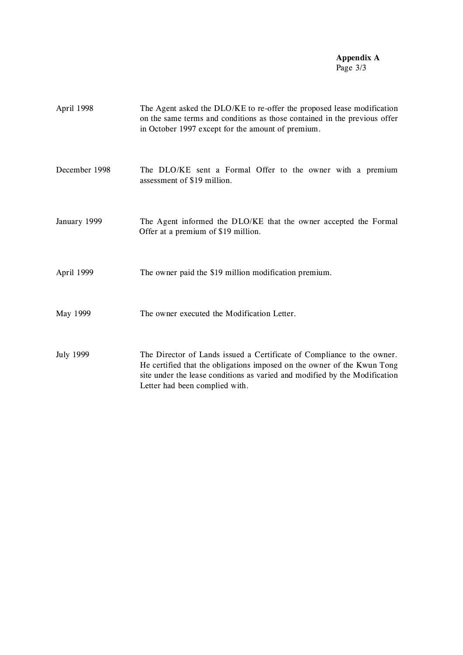#### **Appendix A** Page 3/3

| April 1998       | The Agent asked the DLO/KE to re-offer the proposed lease modification<br>on the same terms and conditions as those contained in the previous offer<br>in October 1997 except for the amount of premium.                                                          |
|------------------|-------------------------------------------------------------------------------------------------------------------------------------------------------------------------------------------------------------------------------------------------------------------|
| December 1998    | The DLO/KE sent a Formal Offer to the owner with a premium<br>assessment of \$19 million.                                                                                                                                                                         |
| January 1999     | The Agent informed the DLO/KE that the owner accepted the Formal<br>Offer at a premium of \$19 million.                                                                                                                                                           |
| April 1999       | The owner paid the \$19 million modification premium.                                                                                                                                                                                                             |
| May 1999         | The owner executed the Modification Letter.                                                                                                                                                                                                                       |
| <b>July 1999</b> | The Director of Lands issued a Certificate of Compliance to the owner.<br>He certified that the obligations imposed on the owner of the Kwun Tong<br>site under the lease conditions as varied and modified by the Modification<br>Letter had been complied with. |